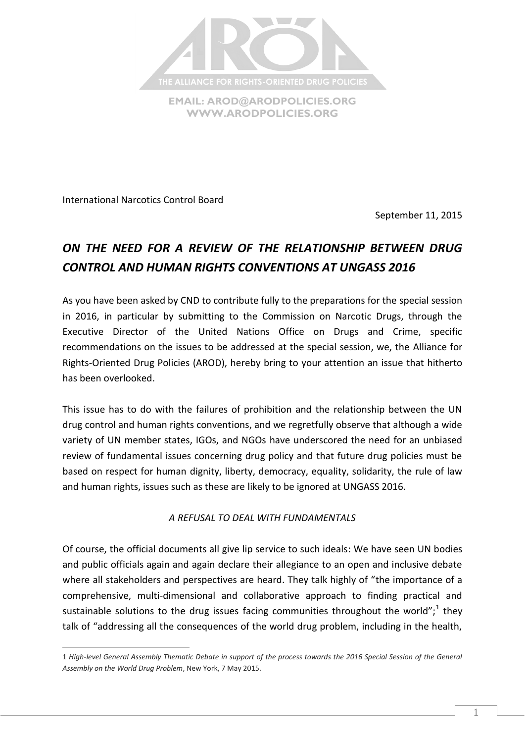

**[WWW.ARODPOLICIES.ORG](http://www.arodpolicies.org/)**

International Narcotics Control Board

 $\overline{a}$ 

September 11, 2015

# *ON THE NEED FOR A REVIEW OF THE RELATIONSHIP BETWEEN DRUG CONTROL AND HUMAN RIGHTS CONVENTIONS AT UNGASS 2016*

As you have been asked by CND to contribute fully to the preparations for the special session in 2016, in particular by submitting to the Commission on Narcotic Drugs, through the Executive Director of the United Nations Office on Drugs and Crime, specific recommendations on the issues to be addressed at the special session, we, the Alliance for Rights-Oriented Drug Policies (AROD), hereby bring to your attention an issue that hitherto has been overlooked.

This issue has to do with the failures of prohibition and the relationship between the UN drug control and human rights conventions, and we regretfully observe that although a wide variety of UN member states, IGOs, and NGOs have underscored the need for an unbiased review of fundamental issues concerning drug policy and that future drug policies must be based on respect for human dignity, liberty, democracy, equality, solidarity, the rule of law and human rights, issues such as these are likely to be ignored at UNGASS 2016.

## *A REFUSAL TO DEAL WITH FUNDAMENTALS*

Of course, the official documents all give lip service to such ideals: We have seen UN bodies and public officials again and again declare their allegiance to an open and inclusive debate where all stakeholders and perspectives are heard. They talk highly of "the importance of a comprehensive, multi-dimensional and collaborative approach to finding practical and sustainable solutions to the drug issues facing communities throughout the world";<sup>1</sup> they talk of "addressing all the consequences of the world drug problem, including in the health,

<sup>1</sup> *High-level General Assembly Thematic Debate in support of the process towards the 2016 Special Session of the General Assembly on the World Drug Problem*, New York, 7 May 2015.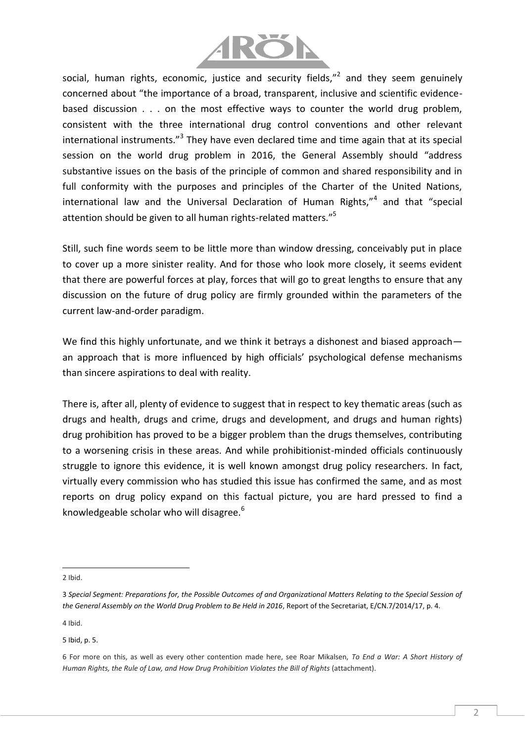

social, human rights, economic, justice and security fields,"<sup>2</sup> and they seem genuinely concerned about "the importance of a broad, transparent, inclusive and scientific evidencebased discussion . . . on the most effective ways to counter the world drug problem, consistent with the three international drug control conventions and other relevant international instruments."<sup>3</sup> They have even declared time and time again that at its special session on the world drug problem in 2016, the General Assembly should "address substantive issues on the basis of the principle of common and shared responsibility and in full conformity with the purposes and principles of the Charter of the United Nations, international law and the Universal Declaration of Human Rights,"<sup>4</sup> and that "special attention should be given to all human rights-related matters."<sup>5</sup>

Still, such fine words seem to be little more than window dressing, conceivably put in place to cover up a more sinister reality. And for those who look more closely, it seems evident that there are powerful forces at play, forces that will go to great lengths to ensure that any discussion on the future of drug policy are firmly grounded within the parameters of the current law-and-order paradigm.

We find this highly unfortunate, and we think it betrays a dishonest and biased approach an approach that is more influenced by high officials' psychological defense mechanisms than sincere aspirations to deal with reality.

There is, after all, plenty of evidence to suggest that in respect to key thematic areas (such as drugs and health, drugs and crime, drugs and development, and drugs and human rights) drug prohibition has proved to be a bigger problem than the drugs themselves, contributing to a worsening crisis in these areas. And while prohibitionist-minded officials continuously struggle to ignore this evidence, it is well known amongst drug policy researchers. In fact, virtually every commission who has studied this issue has confirmed the same, and as most reports on drug policy expand on this factual picture, you are hard pressed to find a knowledgeable scholar who will disagree. $6$ 

2 Ibid.

l

4 Ibid.

5 Ibid, p. 5.

<sup>3</sup> *Special Segment: Preparations for, the Possible Outcomes of and Organizational Matters Relating to the Special Session of the General Assembly on the World Drug Problem to Be Held in 2016*, Report of the Secretariat, E/CN.7/2014/17, p. 4.

<sup>6</sup> For more on this, as well as every other contention made here, see Roar Mikalsen, *To End a War: A Short History of Human Rights, the Rule of Law, and How Drug Prohibition Violates the Bill of Rights* (attachment).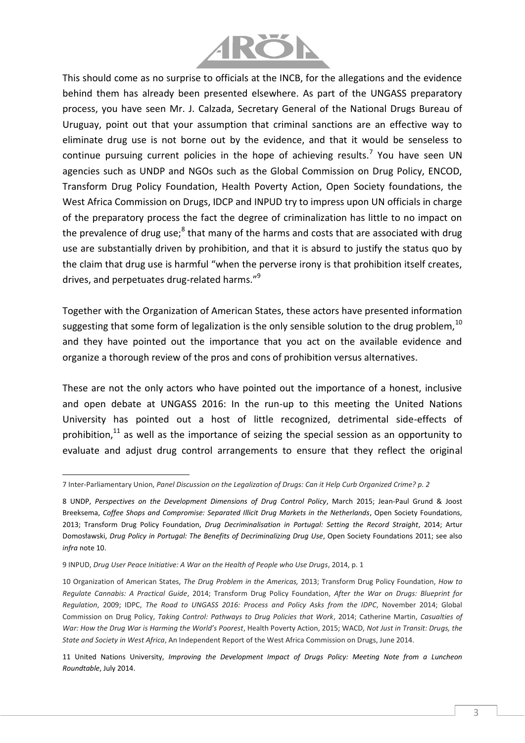

This should come as no surprise to officials at the INCB, for the allegations and the evidence behind them has already been presented elsewhere. As part of the UNGASS preparatory process, you have seen Mr. J. Calzada, Secretary General of the National Drugs Bureau of Uruguay, point out that your assumption that criminal sanctions are an effective way to eliminate drug use is not borne out by the evidence, and that it would be senseless to continue pursuing current policies in the hope of achieving results.<sup>7</sup> You have seen UN agencies such as UNDP and NGOs such as the Global Commission on Drug Policy, ENCOD, Transform Drug Policy Foundation, Health Poverty Action, Open Society foundations, the West Africa Commission on Drugs, IDCP and INPUD try to impress upon UN officials in charge of the preparatory process the fact the degree of criminalization has little to no impact on the prevalence of drug use;<sup>8</sup> that many of the harms and costs that are associated with drug use are substantially driven by prohibition, and that it is absurd to justify the status quo by the claim that drug use is harmful "when the perverse irony is that prohibition itself creates, drives, and perpetuates drug-related harms."<sup>9</sup>

Together with the Organization of American States, these actors have presented information suggesting that some form of legalization is the only sensible solution to the drug problem,  $10$ and they have pointed out the importance that you act on the available evidence and organize a thorough review of the pros and cons of prohibition versus alternatives.

These are not the only actors who have pointed out the importance of a honest, inclusive and open debate at UNGASS 2016: In the run-up to this meeting the United Nations University has pointed out a host of little recognized, detrimental side-effects of prohibition, $11$  as well as the importance of seizing the special session as an opportunity to evaluate and adjust drug control arrangements to ensure that they reflect the original

<sup>7</sup> Inter-Parliamentary Union, *Panel Discussion on the Legalization of Drugs: Can it Help Curb Organized Crime? p. 2*

<sup>8</sup> UNDP, *Perspectives on the Development Dimensions of Drug Control Policy*, March 2015; Jean-Paul Grund & Joost Breeksema, *Coffee Shops and Compromise: Separated Illicit Drug Markets in the Netherlands*, Open Society Foundations, 2013; Transform Drug Policy Foundation, *Drug Decriminalisation in Portugal: Setting the Record Straight*, 2014; Artur Domosławski, *Drug Policy in Portugal: The Benefits of Decriminalizing Drug Use*, Open Society Foundations 2011; see also *infra* note 10.

<sup>9</sup> INPUD, *Drug User Peace Initiative: A War on the Health of People who Use Drugs*, 2014, p. 1

<sup>10</sup> Organization of American States, *The Drug Problem in the Americas,* 2013; Transform Drug Policy Foundation, *How to Regulate Cannabis: A Practical Guide*, 2014; Transform Drug Policy Foundation, *After the War on Drugs: Blueprint for Regulation*, 2009; IDPC, *The Road to UNGASS 2016: Process and Policy Asks from the IDPC*, November 2014; Global Commission on Drug Policy, *Taking Control: Pathways to Drug Policies that Work*, 2014; Catherine Martin, *Casualties of War: How the Drug War is Harming the World's Poorest*, Health Poverty Action, 2015; WACD, *Not Just in Transit: Drugs, the State and Society in West Africa*, An Independent Report of the West Africa Commission on Drugs, June 2014.

<sup>11</sup> United Nations University, *Improving the Development Impact of Drugs Policy: Meeting Note from a Luncheon Roundtable*, July 2014.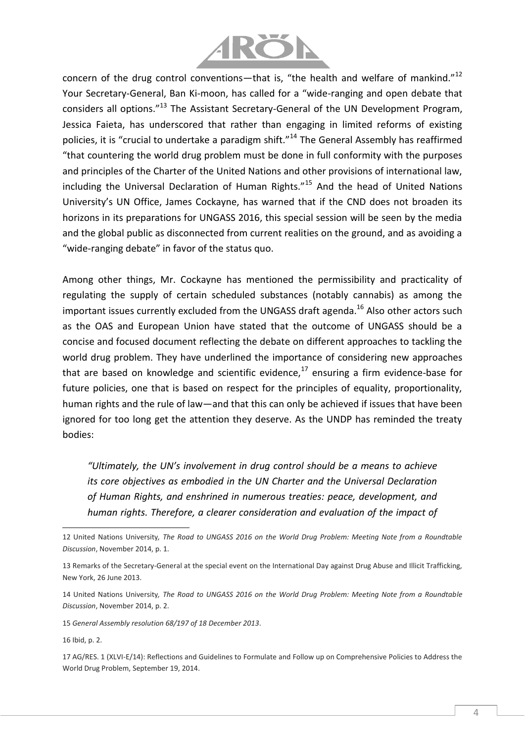

concern of the drug control conventions—that is, "the health and welfare of mankind." $^{12}$ Your Secretary-General, Ban Ki-moon, has called for a "wide-ranging and open debate that considers all options."<sup>13</sup> The Assistant Secretary-General of the UN Development Program, Jessica Faieta, has underscored that rather than engaging in limited reforms of existing policies, it is "crucial to undertake a paradigm shift."<sup>14</sup> The General Assembly has reaffirmed "that countering the world drug problem must be done in full conformity with the purposes and principles of the Charter of the United Nations and other provisions of international law, including the Universal Declaration of Human Rights."<sup>15</sup> And the head of United Nations University's UN Office, James Cockayne, has warned that if the CND does not broaden its horizons in its preparations for UNGASS 2016, this special session will be seen by the media and the global public as disconnected from current realities on the ground, and as avoiding a "wide-ranging debate" in favor of the status quo.

Among other things, Mr. Cockayne has mentioned the permissibility and practicality of regulating the supply of certain scheduled substances (notably cannabis) as among the important issues currently excluded from the UNGASS draft agenda.<sup>16</sup> Also other actors such as the OAS and European Union have stated that the outcome of UNGASS should be a concise and focused document reflecting the debate on different approaches to tackling the world drug problem. They have underlined the importance of considering new approaches that are based on knowledge and scientific evidence, $17$  ensuring a firm evidence-base for future policies, one that is based on respect for the principles of equality, proportionality, human rights and the rule of law—and that this can only be achieved if issues that have been ignored for too long get the attention they deserve. As the UNDP has reminded the treaty bodies:

*"Ultimately, the UN's involvement in drug control should be a means to achieve its core objectives as embodied in the UN Charter and the Universal Declaration of Human Rights, and enshrined in numerous treaties: peace, development, and human rights. Therefore, a clearer consideration and evaluation of the impact of* 

<sup>12</sup> United Nations University*, The Road to UNGASS 2016 on the World Drug Problem: Meeting Note from a Roundtable Discussion*, November 2014, p. 1.

<sup>13</sup> Remarks of the Secretary-General at the special event on the International Day against Drug Abuse and Illicit Trafficking, New York, 26 June 2013.

<sup>14</sup> United Nations University*, The Road to UNGASS 2016 on the World Drug Problem: Meeting Note from a Roundtable Discussion*, November 2014, p. 2.

<sup>15</sup> *General Assembly resolution 68/197 of 18 December 2013*.

<sup>16</sup> Ibid, p. 2.

<sup>17</sup> AG/RES. 1 (XLVI-E/14): Reflections and Guidelines to Formulate and Follow up on Comprehensive Policies to Address the World Drug Problem, September 19, 2014.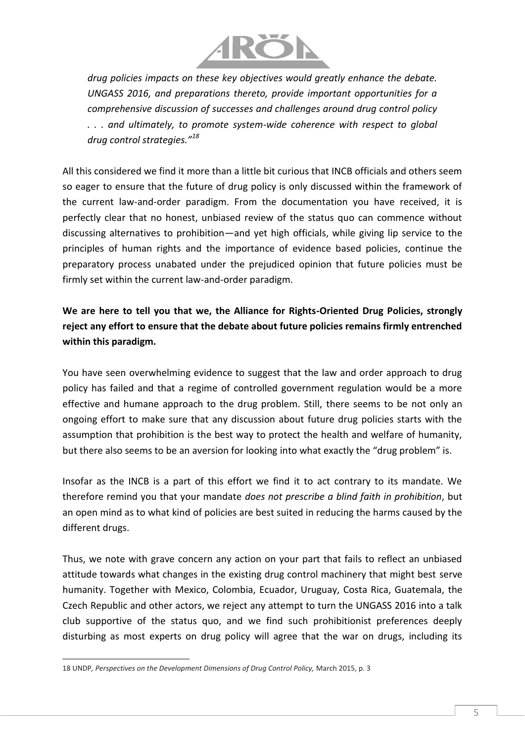

*drug policies impacts on these key objectives would greatly enhance the debate. UNGASS 2016, and preparations thereto, provide important opportunities for a comprehensive discussion of successes and challenges around drug control policy . . . and ultimately, to promote system-wide coherence with respect to global drug control strategies."<sup>18</sup>*

All this considered we find it more than a little bit curious that INCB officials and others seem so eager to ensure that the future of drug policy is only discussed within the framework of the current law-and-order paradigm. From the documentation you have received, it is perfectly clear that no honest, unbiased review of the status quo can commence without discussing alternatives to prohibition—and yet high officials, while giving lip service to the principles of human rights and the importance of evidence based policies, continue the preparatory process unabated under the prejudiced opinion that future policies must be firmly set within the current law-and-order paradigm.

**We are here to tell you that we, the Alliance for Rights-Oriented Drug Policies, strongly reject any effort to ensure that the debate about future policies remains firmly entrenched within this paradigm.**

You have seen overwhelming evidence to suggest that the law and order approach to drug policy has failed and that a regime of controlled government regulation would be a more effective and humane approach to the drug problem. Still, there seems to be not only an ongoing effort to make sure that any discussion about future drug policies starts with the assumption that prohibition is the best way to protect the health and welfare of humanity, but there also seems to be an aversion for looking into what exactly the "drug problem" is.

Insofar as the INCB is a part of this effort we find it to act contrary to its mandate. We therefore remind you that your mandate *does not prescribe a blind faith in prohibition*, but an open mind as to what kind of policies are best suited in reducing the harms caused by the different drugs.

Thus, we note with grave concern any action on your part that fails to reflect an unbiased attitude towards what changes in the existing drug control machinery that might best serve humanity. Together with Mexico, Colombia, Ecuador, Uruguay, Costa Rica, Guatemala, the Czech Republic and other actors, we reject any attempt to turn the UNGASS 2016 into a talk club supportive of the status quo, and we find such prohibitionist preferences deeply disturbing as most experts on drug policy will agree that the war on drugs, including its

l

<sup>18</sup> UNDP*, Perspectives on the Development Dimensions of Drug Control Policy,* March 2015, p. 3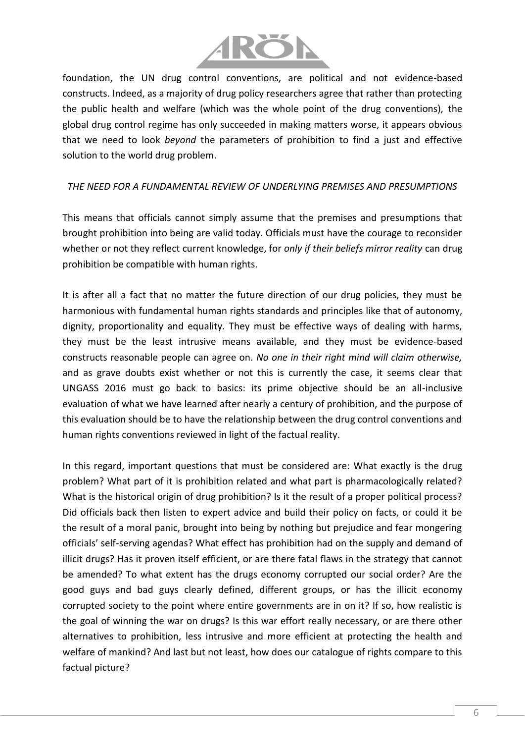

foundation, the UN drug control conventions, are political and not evidence-based constructs. Indeed, as a majority of drug policy researchers agree that rather than protecting the public health and welfare (which was the whole point of the drug conventions), the global drug control regime has only succeeded in making matters worse, it appears obvious that we need to look *beyond* the parameters of prohibition to find a just and effective solution to the world drug problem.

#### *THE NEED FOR A FUNDAMENTAL REVIEW OF UNDERLYING PREMISES AND PRESUMPTIONS*

This means that officials cannot simply assume that the premises and presumptions that brought prohibition into being are valid today. Officials must have the courage to reconsider whether or not they reflect current knowledge, for *only if their beliefs mirror reality* can drug prohibition be compatible with human rights.

It is after all a fact that no matter the future direction of our drug policies, they must be harmonious with fundamental human rights standards and principles like that of autonomy, dignity, proportionality and equality. They must be effective ways of dealing with harms, they must be the least intrusive means available, and they must be evidence-based constructs reasonable people can agree on. *No one in their right mind will claim otherwise,*  and as grave doubts exist whether or not this is currently the case, it seems clear that UNGASS 2016 must go back to basics: its prime objective should be an all-inclusive evaluation of what we have learned after nearly a century of prohibition, and the purpose of this evaluation should be to have the relationship between the drug control conventions and human rights conventions reviewed in light of the factual reality.

In this regard, important questions that must be considered are: What exactly is the drug problem? What part of it is prohibition related and what part is pharmacologically related? What is the historical origin of drug prohibition? Is it the result of a proper political process? Did officials back then listen to expert advice and build their policy on facts, or could it be the result of a moral panic, brought into being by nothing but prejudice and fear mongering officials' self-serving agendas? What effect has prohibition had on the supply and demand of illicit drugs? Has it proven itself efficient, or are there fatal flaws in the strategy that cannot be amended? To what extent has the drugs economy corrupted our social order? Are the good guys and bad guys clearly defined, different groups, or has the illicit economy corrupted society to the point where entire governments are in on it? If so, how realistic is the goal of winning the war on drugs? Is this war effort really necessary, or are there other alternatives to prohibition, less intrusive and more efficient at protecting the health and welfare of mankind? And last but not least, how does our catalogue of rights compare to this factual picture?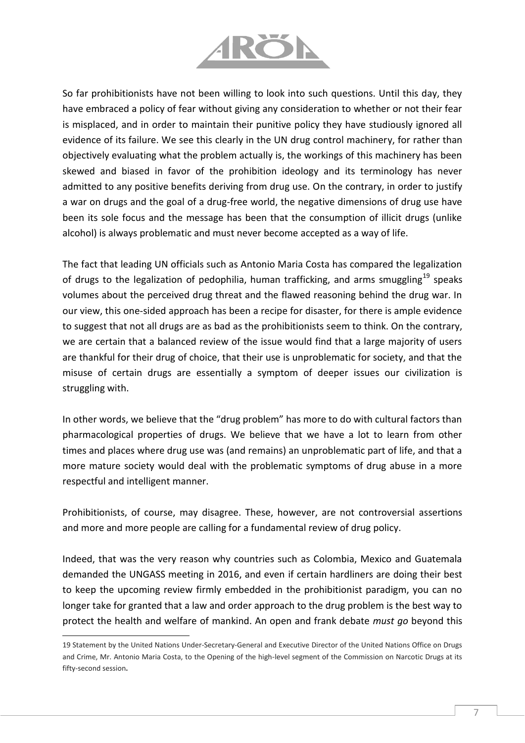

So far prohibitionists have not been willing to look into such questions. Until this day, they have embraced a policy of fear without giving any consideration to whether or not their fear is misplaced, and in order to maintain their punitive policy they have studiously ignored all evidence of its failure. We see this clearly in the UN drug control machinery, for rather than objectively evaluating what the problem actually is, the workings of this machinery has been skewed and biased in favor of the prohibition ideology and its terminology has never admitted to any positive benefits deriving from drug use. On the contrary, in order to justify a war on drugs and the goal of a drug-free world, the negative dimensions of drug use have been its sole focus and the message has been that the consumption of illicit drugs (unlike alcohol) is always problematic and must never become accepted as a way of life.

The fact that leading UN officials such as Antonio Maria Costa has compared the legalization of drugs to the legalization of pedophilia, human trafficking, and arms smuggling<sup>19</sup> speaks volumes about the perceived drug threat and the flawed reasoning behind the drug war. In our view, this one-sided approach has been a recipe for disaster, for there is ample evidence to suggest that not all drugs are as bad as the prohibitionists seem to think. On the contrary, we are certain that a balanced review of the issue would find that a large majority of users are thankful for their drug of choice, that their use is unproblematic for society, and that the misuse of certain drugs are essentially a symptom of deeper issues our civilization is struggling with.

In other words, we believe that the "drug problem" has more to do with cultural factors than pharmacological properties of drugs. We believe that we have a lot to learn from other times and places where drug use was (and remains) an unproblematic part of life, and that a more mature society would deal with the problematic symptoms of drug abuse in a more respectful and intelligent manner.

Prohibitionists, of course, may disagree. These, however, are not controversial assertions and more and more people are calling for a fundamental review of drug policy.

Indeed, that was the very reason why countries such as Colombia, Mexico and Guatemala demanded the UNGASS meeting in 2016, and even if certain hardliners are doing their best to keep the upcoming review firmly embedded in the prohibitionist paradigm, you can no longer take for granted that a law and order approach to the drug problem is the best way to protect the health and welfare of mankind. An open and frank debate *must go* beyond this

<sup>19</sup> Statement by the United Nations Under-Secretary-General and Executive Director of the United Nations Office on Drugs and Crime, Mr. Antonio Maria Costa, to the Opening of the high-level segment of the Commission on Narcotic Drugs at its fifty-second session**.**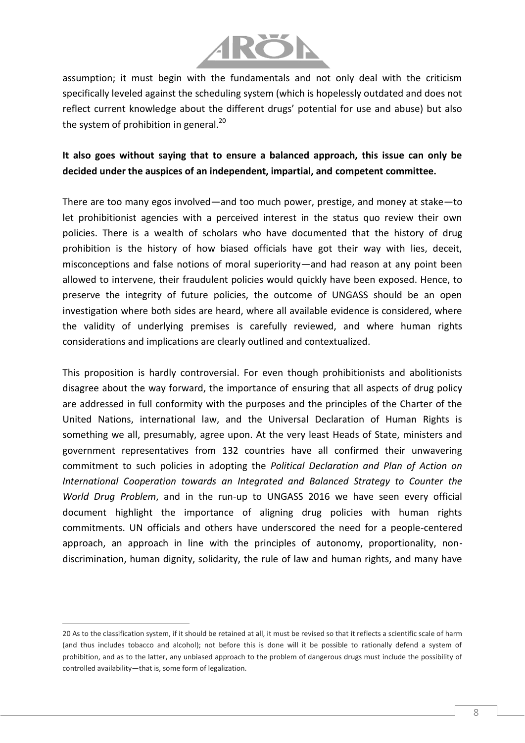

assumption; it must begin with the fundamentals and not only deal with the criticism specifically leveled against the scheduling system (which is hopelessly outdated and does not reflect current knowledge about the different drugs' potential for use and abuse) but also the system of prohibition in general.<sup>20</sup>

## **It also goes without saying that to ensure a balanced approach, this issue can only be decided under the auspices of an independent, impartial, and competent committee.**

There are too many egos involved—and too much power, prestige, and money at stake—to let prohibitionist agencies with a perceived interest in the status quo review their own policies. There is a wealth of scholars who have documented that the history of drug prohibition is the history of how biased officials have got their way with lies, deceit, misconceptions and false notions of moral superiority—and had reason at any point been allowed to intervene, their fraudulent policies would quickly have been exposed. Hence, to preserve the integrity of future policies, the outcome of UNGASS should be an open investigation where both sides are heard, where all available evidence is considered, where the validity of underlying premises is carefully reviewed, and where human rights considerations and implications are clearly outlined and contextualized.

This proposition is hardly controversial. For even though prohibitionists and abolitionists disagree about the way forward, the importance of ensuring that all aspects of drug policy are addressed in full conformity with the purposes and the principles of the Charter of the United Nations, international law, and the Universal Declaration of Human Rights is something we all, presumably, agree upon. At the very least Heads of State, ministers and government representatives from 132 countries have all confirmed their unwavering commitment to such policies in adopting the *Political Declaration and Plan of Action on International Cooperation towards an Integrated and Balanced Strategy to Counter the World Drug Problem*, and in the run-up to UNGASS 2016 we have seen every official document highlight the importance of aligning drug policies with human rights commitments. UN officials and others have underscored the need for a people-centered approach, an approach in line with the principles of autonomy, proportionality, nondiscrimination, human dignity, solidarity, the rule of law and human rights, and many have

<sup>20</sup> As to the classification system, if it should be retained at all, it must be revised so that it reflects a scientific scale of harm (and thus includes tobacco and alcohol); not before this is done will it be possible to rationally defend a system of prohibition, and as to the latter, any unbiased approach to the problem of dangerous drugs must include the possibility of controlled availability—that is, some form of legalization.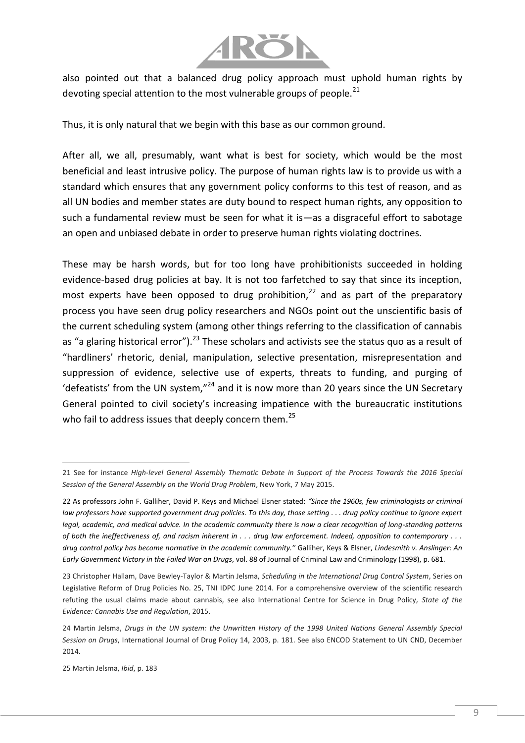

also pointed out that a balanced drug policy approach must uphold human rights by devoting special attention to the most vulnerable groups of people.  $21$ 

Thus, it is only natural that we begin with this base as our common ground.

After all, we all, presumably, want what is best for society, which would be the most beneficial and least intrusive policy. The purpose of human rights law is to provide us with a standard which ensures that any government policy conforms to this test of reason, and as all UN bodies and member states are duty bound to respect human rights, any opposition to such a fundamental review must be seen for what it is—as a disgraceful effort to sabotage an open and unbiased debate in order to preserve human rights violating doctrines.

These may be harsh words, but for too long have prohibitionists succeeded in holding evidence-based drug policies at bay. It is not too farfetched to say that since its inception, most experts have been opposed to drug prohibition.<sup>22</sup> and as part of the preparatory process you have seen drug policy researchers and NGOs point out the unscientific basis of the current scheduling system (among other things referring to the classification of cannabis as "a glaring historical error").<sup>23</sup> These scholars and activists see the status quo as a result of "hardliners' rhetoric, denial, manipulation, selective presentation, misrepresentation and suppression of evidence, selective use of experts, threats to funding, and purging of 'defeatists' from the UN system," $^{24}$  and it is now more than 20 years since the UN Secretary General pointed to civil society's increasing impatience with the bureaucratic institutions who fail to address issues that deeply concern them.<sup>25</sup>

 $\overline{a}$ 21 See for instance *High-level General Assembly Thematic Debate in Support of the Process Towards the 2016 Special Session of the General Assembly on the World Drug Problem*, New York, 7 May 2015.

<sup>22</sup> As professors John F. Galliher, David P. Keys and Michael Elsner stated: *"Since the 1960s, few criminologists or criminal law professors have supported government drug policies. To this day, those setting . . . drug policy continue to ignore expert legal, academic, and medical advice. In the academic community there is now a clear recognition of long-standing patterns of both the ineffectiveness of, and racism inherent in . . . drug law enforcement. Indeed, opposition to contemporary . . . drug control policy has become normative in the academic community."* Galliher, Keys & Elsner, *Lindesmith v. Anslinger: An Early Government Victory in the Failed War on Drugs*, vol. 88 of Journal of Criminal Law and Criminology (1998), p. 681.

<sup>23</sup> Christopher Hallam, Dave Bewley-Taylor & Martin Jelsma, *Scheduling in the International Drug Control System*, Series on Legislative Reform of Drug Policies No. 25, TNI IDPC June 2014. For a comprehensive overview of the scientific research refuting the usual claims made about cannabis, see also International Centre for Science in Drug Policy*, State of the Evidence: Cannabis Use and Regulation*, 2015.

<sup>24</sup> Martin Jelsma, *Drugs in the UN system: the Unwritten History of the 1998 United Nations General Assembly Special Session on Drugs*, International Journal of Drug Policy 14, 2003, p. 181. See also ENCOD Statement to UN CND, December 2014.

<sup>25</sup> Martin Jelsma, *Ibid*, p. 183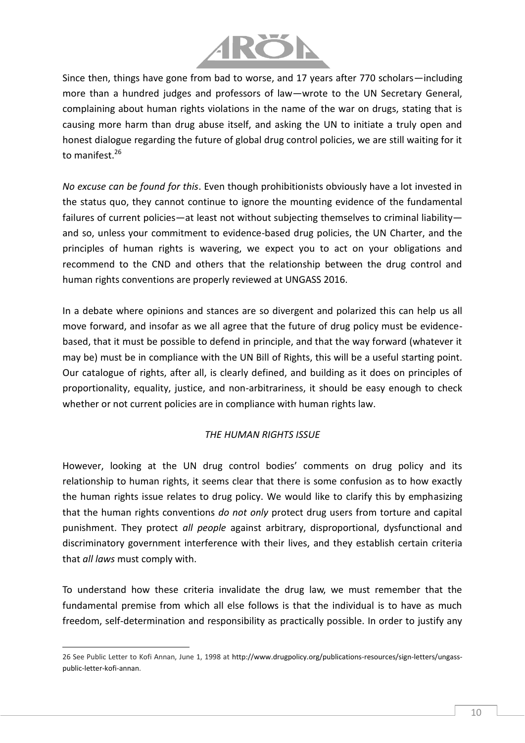

Since then, things have gone from bad to worse, and 17 years after 770 scholars—including more than a hundred judges and professors of law—wrote to the UN Secretary General, complaining about human rights violations in the name of the war on drugs, stating that is causing more harm than drug abuse itself, and asking the UN to initiate a truly open and honest dialogue regarding the future of global drug control policies, we are still waiting for it to manifest.<sup>26</sup>

*No excuse can be found for this*. Even though prohibitionists obviously have a lot invested in the status quo, they cannot continue to ignore the mounting evidence of the fundamental failures of current policies—at least not without subjecting themselves to criminal liability and so, unless your commitment to evidence-based drug policies, the UN Charter, and the principles of human rights is wavering, we expect you to act on your obligations and recommend to the CND and others that the relationship between the drug control and human rights conventions are properly reviewed at UNGASS 2016.

In a debate where opinions and stances are so divergent and polarized this can help us all move forward, and insofar as we all agree that the future of drug policy must be evidencebased, that it must be possible to defend in principle, and that the way forward (whatever it may be) must be in compliance with the UN Bill of Rights, this will be a useful starting point. Our catalogue of rights, after all, is clearly defined, and building as it does on principles of proportionality, equality, justice, and non-arbitrariness, it should be easy enough to check whether or not current policies are in compliance with human rights law.

## *THE HUMAN RIGHTS ISSUE*

However, looking at the UN drug control bodies' comments on drug policy and its relationship to human rights, it seems clear that there is some confusion as to how exactly the human rights issue relates to drug policy. We would like to clarify this by emphasizing that the human rights conventions *do not only* protect drug users from torture and capital punishment. They protect *all people* against arbitrary, disproportional, dysfunctional and discriminatory government interference with their lives, and they establish certain criteria that *all laws* must comply with.

To understand how these criteria invalidate the drug law, we must remember that the fundamental premise from which all else follows is that the individual is to have as much freedom, self-determination and responsibility as practically possible. In order to justify any

<sup>26</sup> See Public Letter to Kofi Annan, June 1, 1998 at [http://www.drugpolicy.org/publications-resources/sign-letters/ungass](http://www.drugpolicy.org/publications-resources/sign-letters/ungass-public-letter-kofi-annan)[public-letter-kofi-annan.](http://www.drugpolicy.org/publications-resources/sign-letters/ungass-public-letter-kofi-annan)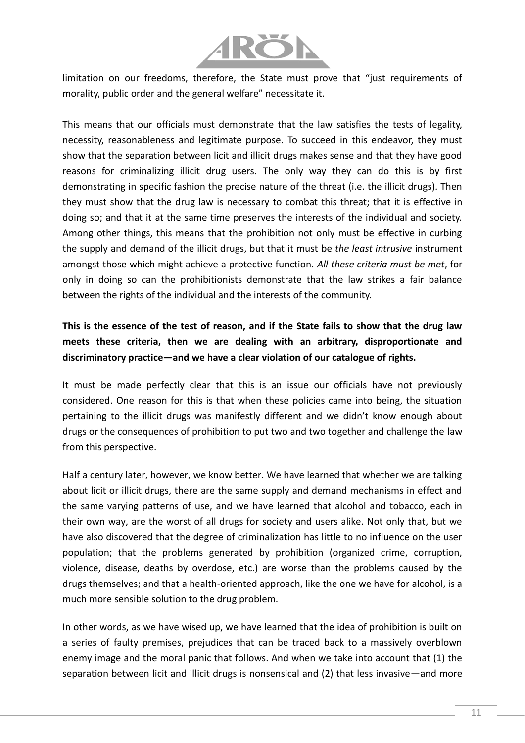

limitation on our freedoms, therefore, the State must prove that "just requirements of morality, public order and the general welfare" necessitate it.

This means that our officials must demonstrate that the law satisfies the tests of legality, necessity, reasonableness and legitimate purpose. To succeed in this endeavor, they must show that the separation between licit and illicit drugs makes sense and that they have good reasons for criminalizing illicit drug users. The only way they can do this is by first demonstrating in specific fashion the precise nature of the threat (i.e. the illicit drugs). Then they must show that the drug law is necessary to combat this threat; that it is effective in doing so; and that it at the same time preserves the interests of the individual and society. Among other things, this means that the prohibition not only must be effective in curbing the supply and demand of the illicit drugs, but that it must be *the least intrusive* instrument amongst those which might achieve a protective function. *All these criteria must be met*, for only in doing so can the prohibitionists demonstrate that the law strikes a fair balance between the rights of the individual and the interests of the community.

# **This is the essence of the test of reason, and if the State fails to show that the drug law meets these criteria, then we are dealing with an arbitrary, disproportionate and discriminatory practice—and we have a clear violation of our catalogue of rights.**

It must be made perfectly clear that this is an issue our officials have not previously considered. One reason for this is that when these policies came into being, the situation pertaining to the illicit drugs was manifestly different and we didn't know enough about drugs or the consequences of prohibition to put two and two together and challenge the law from this perspective.

Half a century later, however, we know better. We have learned that whether we are talking about licit or illicit drugs, there are the same supply and demand mechanisms in effect and the same varying patterns of use, and we have learned that alcohol and tobacco, each in their own way, are the worst of all drugs for society and users alike. Not only that, but we have also discovered that the degree of criminalization has little to no influence on the user population; that the problems generated by prohibition (organized crime, corruption, violence, disease, deaths by overdose, etc.) are worse than the problems caused by the drugs themselves; and that a health-oriented approach, like the one we have for alcohol, is a much more sensible solution to the drug problem.

In other words, as we have wised up, we have learned that the idea of prohibition is built on a series of faulty premises, prejudices that can be traced back to a massively overblown enemy image and the moral panic that follows. And when we take into account that (1) the separation between licit and illicit drugs is nonsensical and (2) that less invasive—and more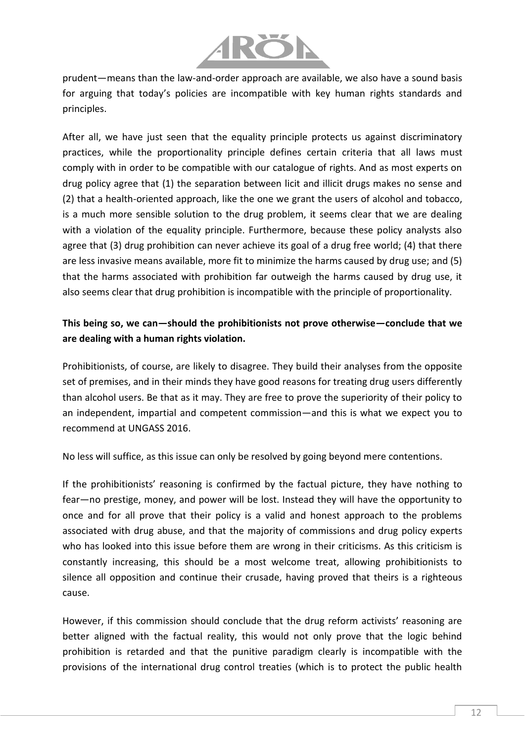

prudent—means than the law-and-order approach are available, we also have a sound basis for arguing that today's policies are incompatible with key human rights standards and principles.

After all, we have just seen that the equality principle protects us against discriminatory practices, while the proportionality principle defines certain criteria that all laws must comply with in order to be compatible with our catalogue of rights. And as most experts on drug policy agree that (1) the separation between licit and illicit drugs makes no sense and (2) that a health-oriented approach, like the one we grant the users of alcohol and tobacco, is a much more sensible solution to the drug problem, it seems clear that we are dealing with a violation of the equality principle. Furthermore, because these policy analysts also agree that (3) drug prohibition can never achieve its goal of a drug free world; (4) that there are less invasive means available, more fit to minimize the harms caused by drug use; and (5) that the harms associated with prohibition far outweigh the harms caused by drug use, it also seems clear that drug prohibition is incompatible with the principle of proportionality.

## **This being so, we can—should the prohibitionists not prove otherwise—conclude that we are dealing with a human rights violation.**

Prohibitionists, of course, are likely to disagree. They build their analyses from the opposite set of premises, and in their minds they have good reasons for treating drug users differently than alcohol users. Be that as it may. They are free to prove the superiority of their policy to an independent, impartial and competent commission—and this is what we expect you to recommend at UNGASS 2016.

No less will suffice, as this issue can only be resolved by going beyond mere contentions.

If the prohibitionists' reasoning is confirmed by the factual picture, they have nothing to fear—no prestige, money, and power will be lost. Instead they will have the opportunity to once and for all prove that their policy is a valid and honest approach to the problems associated with drug abuse, and that the majority of commissions and drug policy experts who has looked into this issue before them are wrong in their criticisms. As this criticism is constantly increasing, this should be a most welcome treat, allowing prohibitionists to silence all opposition and continue their crusade, having proved that theirs is a righteous cause.

However, if this commission should conclude that the drug reform activists' reasoning are better aligned with the factual reality, this would not only prove that the logic behind prohibition is retarded and that the punitive paradigm clearly is incompatible with the provisions of the international drug control treaties (which is to protect the public health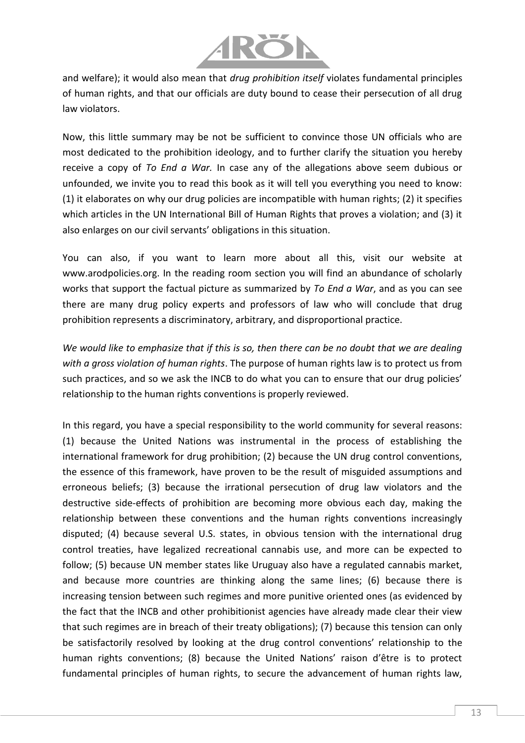

and welfare); it would also mean that *drug prohibition itself* violates fundamental principles of human rights, and that our officials are duty bound to cease their persecution of all drug law violators.

Now, this little summary may be not be sufficient to convince those UN officials who are most dedicated to the prohibition ideology, and to further clarify the situation you hereby receive a copy of *To End a War.* In case any of the allegations above seem dubious or unfounded, we invite you to read this book as it will tell you everything you need to know: (1) it elaborates on why our drug policies are incompatible with human rights; (2) it specifies which articles in the UN International Bill of Human Rights that proves a violation; and (3) it also enlarges on our civil servants' obligations in this situation.

You can also, if you want to learn more about all this, visit our website at www.arodpolicies.org. In the reading room section you will find an abundance of scholarly works that support the factual picture as summarized by *To End a War*, and as you can see there are many drug policy experts and professors of law who will conclude that drug prohibition represents a discriminatory, arbitrary, and disproportional practice.

*We would like to emphasize that if this is so, then there can be no doubt that we are dealing with a gross violation of human rights*. The purpose of human rights law is to protect us from such practices, and so we ask the INCB to do what you can to ensure that our drug policies' relationship to the human rights conventions is properly reviewed.

In this regard, you have a special responsibility to the world community for several reasons: (1) because the United Nations was instrumental in the process of establishing the international framework for drug prohibition; (2) because the UN drug control conventions, the essence of this framework, have proven to be the result of misguided assumptions and erroneous beliefs; (3) because the irrational persecution of drug law violators and the destructive side-effects of prohibition are becoming more obvious each day, making the relationship between these conventions and the human rights conventions increasingly disputed; (4) because several U.S. states, in obvious tension with the international drug control treaties, have legalized recreational cannabis use, and more can be expected to follow; (5) because UN member states like Uruguay also have a regulated cannabis market, and because more countries are thinking along the same lines; (6) because there is increasing tension between such regimes and more punitive oriented ones (as evidenced by the fact that the INCB and other prohibitionist agencies have already made clear their view that such regimes are in breach of their treaty obligations); (7) because this tension can only be satisfactorily resolved by looking at the drug control conventions' relationship to the human rights conventions; (8) because the United Nations' raison d'être is to protect fundamental principles of human rights, to secure the advancement of human rights law,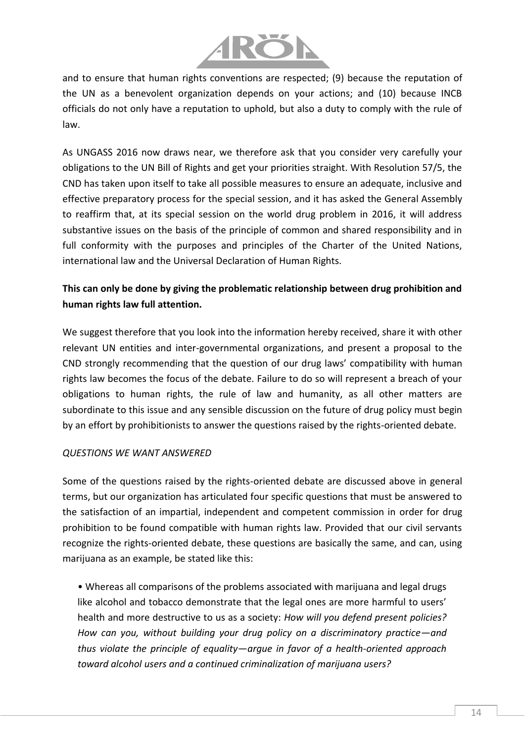

and to ensure that human rights conventions are respected; (9) because the reputation of the UN as a benevolent organization depends on your actions; and (10) because INCB officials do not only have a reputation to uphold, but also a duty to comply with the rule of law.

As UNGASS 2016 now draws near, we therefore ask that you consider very carefully your obligations to the UN Bill of Rights and get your priorities straight. With Resolution 57/5, the CND has taken upon itself to take all possible measures to ensure an adequate, inclusive and effective preparatory process for the special session, and it has asked the General Assembly to reaffirm that, at its special session on the world drug problem in 2016, it will address substantive issues on the basis of the principle of common and shared responsibility and in full conformity with the purposes and principles of the Charter of the United Nations, international law and the Universal Declaration of Human Rights.

## **This can only be done by giving the problematic relationship between drug prohibition and human rights law full attention.**

We suggest therefore that you look into the information hereby received, share it with other relevant UN entities and inter-governmental organizations, and present a proposal to the CND strongly recommending that the question of our drug laws' compatibility with human rights law becomes the focus of the debate. Failure to do so will represent a breach of your obligations to human rights, the rule of law and humanity, as all other matters are subordinate to this issue and any sensible discussion on the future of drug policy must begin by an effort by prohibitionists to answer the questions raised by the rights-oriented debate.

#### *QUESTIONS WE WANT ANSWERED*

Some of the questions raised by the rights-oriented debate are discussed above in general terms, but our organization has articulated four specific questions that must be answered to the satisfaction of an impartial, independent and competent commission in order for drug prohibition to be found compatible with human rights law. Provided that our civil servants recognize the rights-oriented debate, these questions are basically the same, and can, using marijuana as an example, be stated like this:

• Whereas all comparisons of the problems associated with marijuana and legal drugs like alcohol and tobacco demonstrate that the legal ones are more harmful to users' health and more destructive to us as a society: *How will you defend present policies? How can you, without building your drug policy on a discriminatory practice—and thus violate the principle of equality—argue in favor of a health-oriented approach toward alcohol users and a continued criminalization of marijuana users?*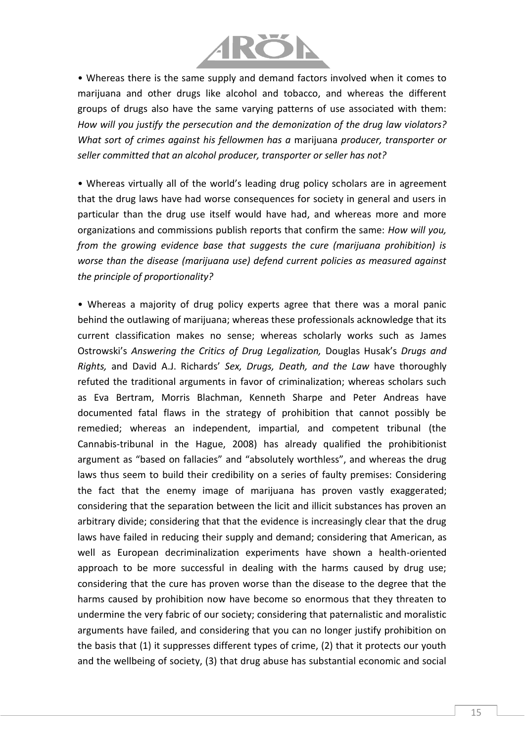

• Whereas there is the same supply and demand factors involved when it comes to marijuana and other drugs like alcohol and tobacco, and whereas the different groups of drugs also have the same varying patterns of use associated with them: *How will you justify the persecution and the demonization of the drug law violators? What sort of crimes against his fellowmen has a* marijuana *producer, transporter or seller committed that an alcohol producer, transporter or seller has not?*

• Whereas virtually all of the world's leading drug policy scholars are in agreement that the drug laws have had worse consequences for society in general and users in particular than the drug use itself would have had, and whereas more and more organizations and commissions publish reports that confirm the same: *How will you, from the growing evidence base that suggests the cure (marijuana prohibition) is worse than the disease (marijuana use) defend current policies as measured against the principle of proportionality?*

• Whereas a majority of drug policy experts agree that there was a moral panic behind the outlawing of marijuana; whereas these professionals acknowledge that its current classification makes no sense; whereas scholarly works such as James Ostrowski's *Answering the Critics of Drug Legalization,* Douglas Husak's *Drugs and Rights,* and David A.J. Richards' *Sex, Drugs, Death, and the Law* have thoroughly refuted the traditional arguments in favor of criminalization; whereas scholars such as Eva Bertram, Morris Blachman, Kenneth Sharpe and Peter Andreas have documented fatal flaws in the strategy of prohibition that cannot possibly be remedied; whereas an independent, impartial, and competent tribunal (the Cannabis-tribunal in the Hague, 2008) has already qualified the prohibitionist argument as "based on fallacies" and "absolutely worthless", and whereas the drug laws thus seem to build their credibility on a series of faulty premises: Considering the fact that the enemy image of marijuana has proven vastly exaggerated; considering that the separation between the licit and illicit substances has proven an arbitrary divide; considering that that the evidence is increasingly clear that the drug laws have failed in reducing their supply and demand; considering that American, as well as European decriminalization experiments have shown a health-oriented approach to be more successful in dealing with the harms caused by drug use; considering that the cure has proven worse than the disease to the degree that the harms caused by prohibition now have become so enormous that they threaten to undermine the very fabric of our society; considering that paternalistic and moralistic arguments have failed, and considering that you can no longer justify prohibition on the basis that (1) it suppresses different types of crime, (2) that it protects our youth and the wellbeing of society, (3) that drug abuse has substantial economic and social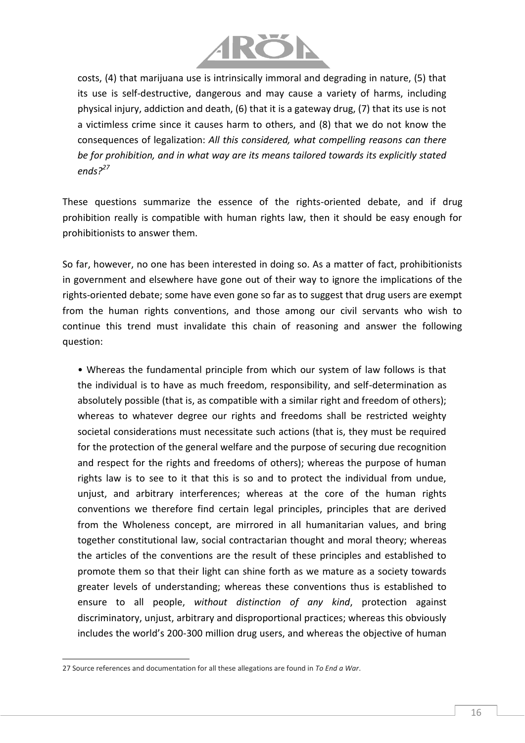

costs, (4) that marijuana use is intrinsically immoral and degrading in nature, (5) that its use is self-destructive, dangerous and may cause a variety of harms, including physical injury, addiction and death, (6) that it is a gateway drug, (7) that its use is not a victimless crime since it causes harm to others, and (8) that we do not know the consequences of legalization: *All this considered, what compelling reasons can there be for prohibition, and in what way are its means tailored towards its explicitly stated ends?<sup>27</sup>*

These questions summarize the essence of the rights-oriented debate, and if drug prohibition really is compatible with human rights law, then it should be easy enough for prohibitionists to answer them.

So far, however, no one has been interested in doing so. As a matter of fact, prohibitionists in government and elsewhere have gone out of their way to ignore the implications of the rights-oriented debate; some have even gone so far as to suggest that drug users are exempt from the human rights conventions, and those among our civil servants who wish to continue this trend must invalidate this chain of reasoning and answer the following question:

• Whereas the fundamental principle from which our system of law follows is that the individual is to have as much freedom, responsibility, and self-determination as absolutely possible (that is, as compatible with a similar right and freedom of others); whereas to whatever degree our rights and freedoms shall be restricted weighty societal considerations must necessitate such actions (that is, they must be required for the protection of the general welfare and the purpose of securing due recognition and respect for the rights and freedoms of others); whereas the purpose of human rights law is to see to it that this is so and to protect the individual from undue, unjust, and arbitrary interferences; whereas at the core of the human rights conventions we therefore find certain legal principles, principles that are derived from the Wholeness concept, are mirrored in all humanitarian values, and bring together constitutional law, social contractarian thought and moral theory; whereas the articles of the conventions are the result of these principles and established to promote them so that their light can shine forth as we mature as a society towards greater levels of understanding; whereas these conventions thus is established to ensure to all people, *without distinction of any kind*, protection against discriminatory, unjust, arbitrary and disproportional practices; whereas this obviously includes the world's 200-300 million drug users, and whereas the objective of human

l

<sup>27</sup> Source references and documentation for all these allegations are found in *To End a War*.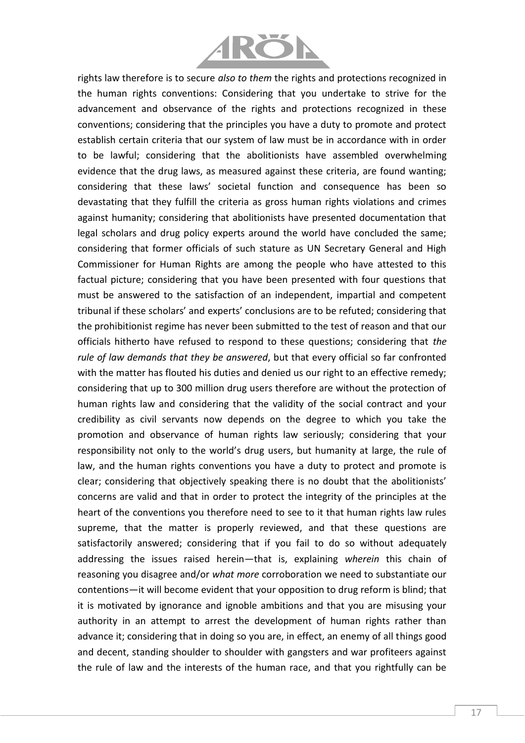

rights law therefore is to secure *also to them* the rights and protections recognized in the human rights conventions: Considering that you undertake to strive for the advancement and observance of the rights and protections recognized in these conventions; considering that the principles you have a duty to promote and protect establish certain criteria that our system of law must be in accordance with in order to be lawful; considering that the abolitionists have assembled overwhelming evidence that the drug laws, as measured against these criteria, are found wanting; considering that these laws' societal function and consequence has been so devastating that they fulfill the criteria as gross human rights violations and crimes against humanity; considering that abolitionists have presented documentation that legal scholars and drug policy experts around the world have concluded the same; considering that former officials of such stature as UN Secretary General and High Commissioner for Human Rights are among the people who have attested to this factual picture; considering that you have been presented with four questions that must be answered to the satisfaction of an independent, impartial and competent tribunal if these scholars' and experts' conclusions are to be refuted; considering that the prohibitionist regime has never been submitted to the test of reason and that our officials hitherto have refused to respond to these questions; considering that *the rule of law demands that they be answered*, but that every official so far confronted with the matter has flouted his duties and denied us our right to an effective remedy; considering that up to 300 million drug users therefore are without the protection of human rights law and considering that the validity of the social contract and your credibility as civil servants now depends on the degree to which you take the promotion and observance of human rights law seriously; considering that your responsibility not only to the world's drug users, but humanity at large, the rule of law, and the human rights conventions you have a duty to protect and promote is clear; considering that objectively speaking there is no doubt that the abolitionists' concerns are valid and that in order to protect the integrity of the principles at the heart of the conventions you therefore need to see to it that human rights law rules supreme, that the matter is properly reviewed, and that these questions are satisfactorily answered; considering that if you fail to do so without adequately addressing the issues raised herein—that is, explaining *wherein* this chain of reasoning you disagree and/or *what more* corroboration we need to substantiate our contentions—it will become evident that your opposition to drug reform is blind; that it is motivated by ignorance and ignoble ambitions and that you are misusing your authority in an attempt to arrest the development of human rights rather than advance it; considering that in doing so you are, in effect, an enemy of all things good and decent, standing shoulder to shoulder with gangsters and war profiteers against the rule of law and the interests of the human race, and that you rightfully can be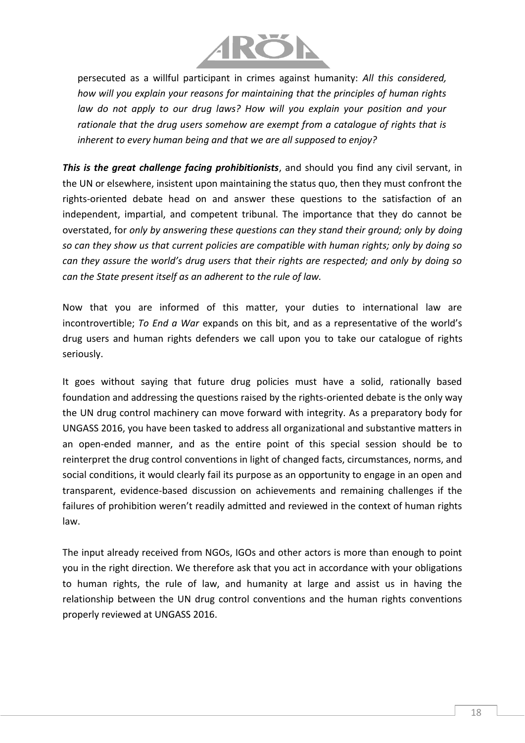

persecuted as a willful participant in crimes against humanity: *All this considered, how will you explain your reasons for maintaining that the principles of human rights law do not apply to our drug laws? How will you explain your position and your rationale that the drug users somehow are exempt from a catalogue of rights that is inherent to every human being and that we are all supposed to enjoy?*

*This is the great challenge facing prohibitionists*, and should you find any civil servant, in the UN or elsewhere, insistent upon maintaining the status quo, then they must confront the rights-oriented debate head on and answer these questions to the satisfaction of an independent, impartial, and competent tribunal. The importance that they do cannot be overstated, for *only by answering these questions can they stand their ground; only by doing so can they show us that current policies are compatible with human rights; only by doing so can they assure the world's drug users that their rights are respected; and only by doing so can the State present itself as an adherent to the rule of law.*

Now that you are informed of this matter, your duties to international law are incontrovertible; *To End a War* expands on this bit, and as a representative of the world's drug users and human rights defenders we call upon you to take our catalogue of rights seriously.

It goes without saying that future drug policies must have a solid, rationally based foundation and addressing the questions raised by the rights-oriented debate is the only way the UN drug control machinery can move forward with integrity. As a preparatory body for UNGASS 2016, you have been tasked to address all organizational and substantive matters in an open-ended manner, and as the entire point of this special session should be to reinterpret the drug control conventions in light of changed facts, circumstances, norms, and social conditions, it would clearly fail its purpose as an opportunity to engage in an open and transparent, evidence-based discussion on achievements and remaining challenges if the failures of prohibition weren't readily admitted and reviewed in the context of human rights law.

The input already received from NGOs, IGOs and other actors is more than enough to point you in the right direction. We therefore ask that you act in accordance with your obligations to human rights, the rule of law, and humanity at large and assist us in having the relationship between the UN drug control conventions and the human rights conventions properly reviewed at UNGASS 2016.